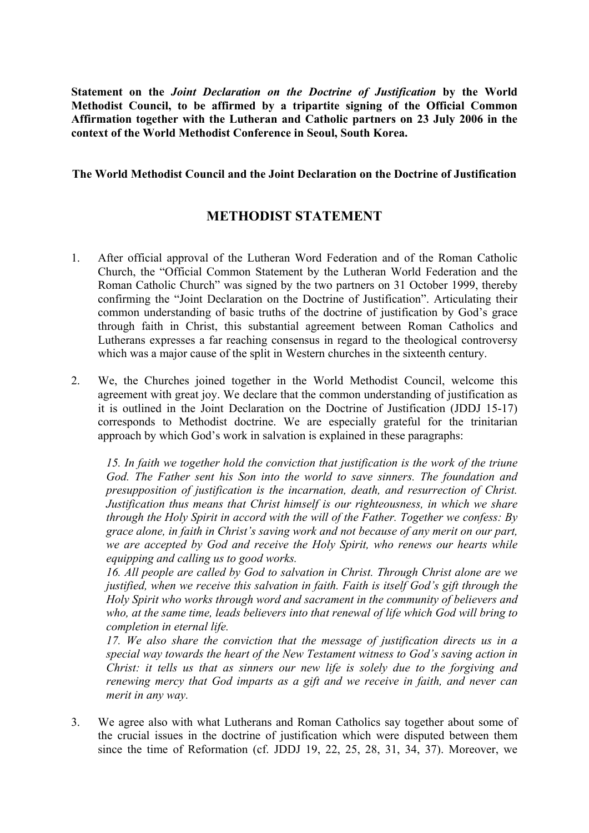**Statement on the** *Joint Declaration on the Doctrine of Justification* **by the World Methodist Council, to be affirmed by a tripartite signing of the Official Common Affirmation together with the Lutheran and Catholic partners on 23 July 2006 in the context of the World Methodist Conference in Seoul, South Korea.**

## **The World Methodist Council and the Joint Declaration on the Doctrine of Justification**

## **METHODIST STATEMENT**

- 1. After official approval of the Lutheran Word Federation and of the Roman Catholic Church, the "Official Common Statement by the Lutheran World Federation and the Roman Catholic Church" was signed by the two partners on 31 October 1999, thereby confirming the "Joint Declaration on the Doctrine of Justification". Articulating their common understanding of basic truths of the doctrine of justification by God's grace through faith in Christ, this substantial agreement between Roman Catholics and Lutherans expresses a far reaching consensus in regard to the theological controversy which was a major cause of the split in Western churches in the sixteenth century.
- 2. We, the Churches joined together in the World Methodist Council, welcome this agreement with great joy. We declare that the common understanding of justification as it is outlined in the Joint Declaration on the Doctrine of Justification (JDDJ 15-17) corresponds to Methodist doctrine. We are especially grateful for the trinitarian approach by which God's work in salvation is explained in these paragraphs:

*15. In faith we together hold the conviction that justification is the work of the triune God. The Father sent his Son into the world to save sinners. The foundation and presupposition of justification is the incarnation, death, and resurrection of Christ. Justification thus means that Christ himself is our righteousness, in which we share through the Holy Spirit in accord with the will of the Father. Together we confess: By grace alone, in faith in Christ's saving work and not because of any merit on our part, we are accepted by God and receive the Holy Spirit, who renews our hearts while equipping and calling us to good works.*

*16. All people are called by God to salvation in Christ. Through Christ alone are we justified, when we receive this salvation in faith. Faith is itself God's gift through the Holy Spirit who works through word and sacrament in the community of believers and who, at the same time, leads believers into that renewal of life which God will bring to completion in eternal life.*

*17. We also share the conviction that the message of justification directs us in a special way towards the heart of the New Testament witness to God's saving action in Christ: it tells us that as sinners our new life is solely due to the forgiving and renewing mercy that God imparts as a gift and we receive in faith, and never can merit in any way.*

3. We agree also with what Lutherans and Roman Catholics say together about some of the crucial issues in the doctrine of justification which were disputed between them since the time of Reformation (cf. JDDJ 19, 22, 25, 28, 31, 34, 37). Moreover, we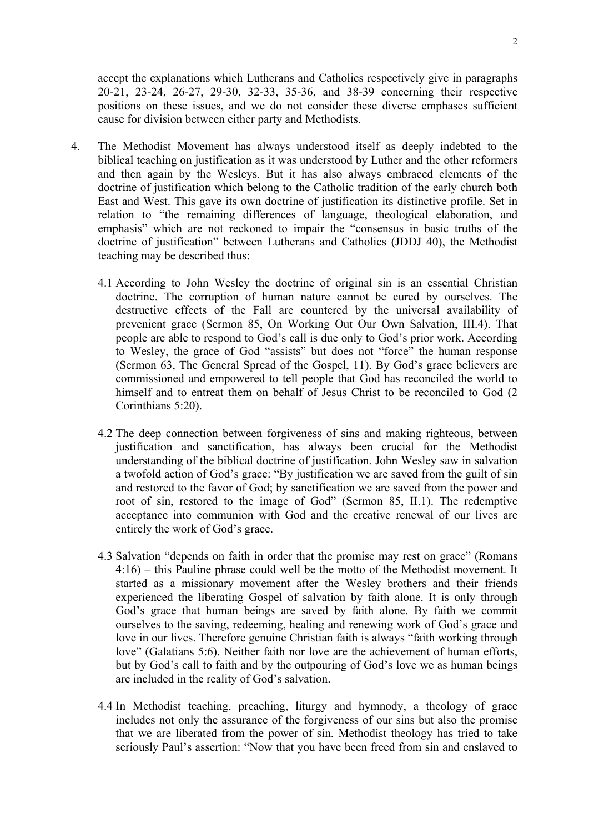accept the explanations which Lutherans and Catholics respectively give in paragraphs 20-21, 23-24, 26-27, 29-30, 32-33, 35-36, and 38-39 concerning their respective positions on these issues, and we do not consider these diverse emphases sufficient cause for division between either party and Methodists.

- 4. The Methodist Movement has always understood itself as deeply indebted to the biblical teaching on justification as it was understood by Luther and the other reformers and then again by the Wesleys. But it has also always embraced elements of the doctrine of justification which belong to the Catholic tradition of the early church both East and West. This gave its own doctrine of justification its distinctive profile. Set in relation to "the remaining differences of language, theological elaboration, and emphasis" which are not reckoned to impair the "consensus in basic truths of the doctrine of justification" between Lutherans and Catholics (JDDJ 40), the Methodist teaching may be described thus:
	- 4.1 According to John Wesley the doctrine of original sin is an essential Christian doctrine. The corruption of human nature cannot be cured by ourselves. The destructive effects of the Fall are countered by the universal availability of prevenient grace (Sermon 85, On Working Out Our Own Salvation, III.4). That people are able to respond to God's call is due only to God's prior work. According to Wesley, the grace of God "assists" but does not "force" the human response (Sermon 63, The General Spread of the Gospel, 11). By God's grace believers are commissioned and empowered to tell people that God has reconciled the world to himself and to entreat them on behalf of Jesus Christ to be reconciled to God (2) Corinthians 5:20).
	- 4.2 The deep connection between forgiveness of sins and making righteous, between justification and sanctification, has always been crucial for the Methodist understanding of the biblical doctrine of justification. John Wesley saw in salvation a twofold action of God's grace: "By justification we are saved from the guilt of sin and restored to the favor of God; by sanctification we are saved from the power and root of sin, restored to the image of God" (Sermon 85, II.1). The redemptive acceptance into communion with God and the creative renewal of our lives are entirely the work of God's grace.
	- 4.3 Salvation "depends on faith in order that the promise may rest on grace" (Romans 4:16) – this Pauline phrase could well be the motto of the Methodist movement. It started as a missionary movement after the Wesley brothers and their friends experienced the liberating Gospel of salvation by faith alone. It is only through God's grace that human beings are saved by faith alone. By faith we commit ourselves to the saving, redeeming, healing and renewing work of God's grace and love in our lives. Therefore genuine Christian faith is always "faith working through love" (Galatians 5:6). Neither faith nor love are the achievement of human efforts, but by God's call to faith and by the outpouring of God's love we as human beings are included in the reality of God's salvation.
	- 4.4 In Methodist teaching, preaching, liturgy and hymnody, a theology of grace includes not only the assurance of the forgiveness of our sins but also the promise that we are liberated from the power of sin. Methodist theology has tried to take seriously Paul's assertion: "Now that you have been freed from sin and enslaved to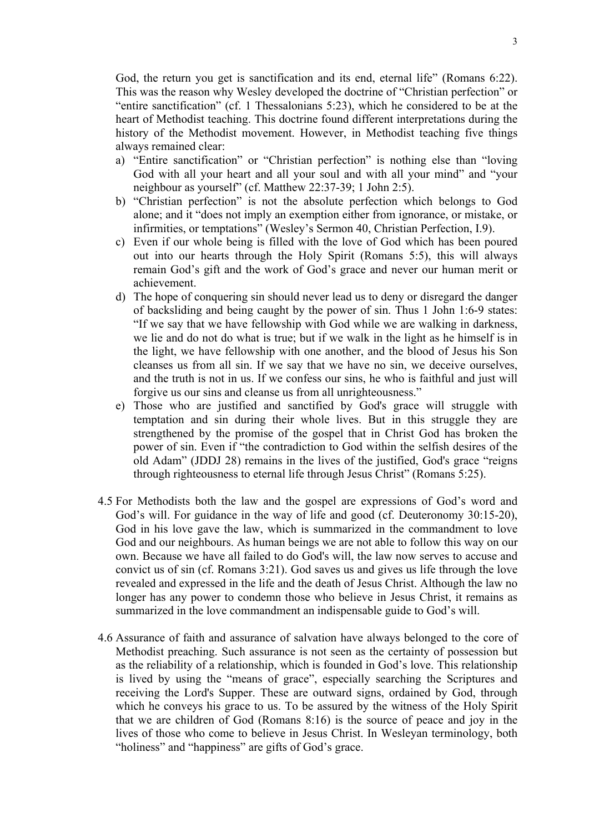God, the return you get is sanctification and its end, eternal life" (Romans 6:22). This was the reason why Wesley developed the doctrine of "Christian perfection" or "entire sanctification" (cf. 1 Thessalonians 5:23), which he considered to be at the heart of Methodist teaching. This doctrine found different interpretations during the history of the Methodist movement. However, in Methodist teaching five things always remained clear:

- a) "Entire sanctification" or "Christian perfection" is nothing else than "loving God with all your heart and all your soul and with all your mind" and "your neighbour as yourself" (cf. Matthew 22:37-39; 1 John 2:5).
- b) "Christian perfection" is not the absolute perfection which belongs to God alone; and it "does not imply an exemption either from ignorance, or mistake, or infirmities, or temptations" (Wesley's Sermon 40, Christian Perfection, I.9).
- c) Even if our whole being is filled with the love of God which has been poured out into our hearts through the Holy Spirit (Romans 5:5), this will always remain God's gift and the work of God's grace and never our human merit or achievement.
- d) The hope of conquering sin should never lead us to deny or disregard the danger of backsliding and being caught by the power of sin. Thus 1 John 1:6-9 states: "If we say that we have fellowship with God while we are walking in darkness, we lie and do not do what is true; but if we walk in the light as he himself is in the light, we have fellowship with one another, and the blood of Jesus his Son cleanses us from all sin. If we say that we have no sin, we deceive ourselves, and the truth is not in us. If we confess our sins, he who is faithful and just will forgive us our sins and cleanse us from all unrighteousness."
- e) Those who are justified and sanctified by God's grace will struggle with temptation and sin during their whole lives. But in this struggle they are strengthened by the promise of the gospel that in Christ God has broken the power of sin. Even if "the contradiction to God within the selfish desires of the old Adam" (JDDJ 28) remains in the lives of the justified, God's grace "reigns through righteousness to eternal life through Jesus Christ" (Romans 5:25).
- 4.5 For Methodists both the law and the gospel are expressions of God's word and God's will. For guidance in the way of life and good (cf. Deuteronomy 30:15-20), God in his love gave the law, which is summarized in the commandment to love God and our neighbours. As human beings we are not able to follow this way on our own. Because we have all failed to do God's will, the law now serves to accuse and convict us of sin (cf. Romans 3:21). God saves us and gives us life through the love revealed and expressed in the life and the death of Jesus Christ. Although the law no longer has any power to condemn those who believe in Jesus Christ, it remains as summarized in the love commandment an indispensable guide to God's will.
- 4.6 Assurance of faith and assurance of salvation have always belonged to the core of Methodist preaching. Such assurance is not seen as the certainty of possession but as the reliability of a relationship, which is founded in God's love. This relationship is lived by using the "means of grace", especially searching the Scriptures and receiving the Lord's Supper. These are outward signs, ordained by God, through which he conveys his grace to us. To be assured by the witness of the Holy Spirit that we are children of God (Romans 8:16) is the source of peace and joy in the lives of those who come to believe in Jesus Christ. In Wesleyan terminology, both "holiness" and "happiness" are gifts of God's grace.